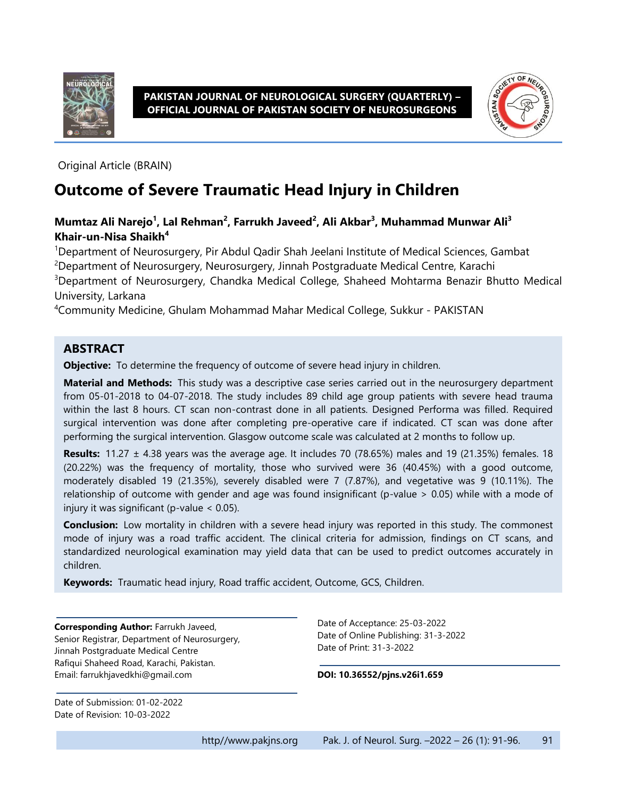

**PAKISTAN JOURNAL OF NEUROLOGICAL SURGERY (QUARTERLY) – OFFICIAL JOURNAL OF PAKISTAN SOCIETY OF NEUROSURGEONS**



Original Article (BRAIN)

# **Outcome of Severe Traumatic Head Injury in Children**

#### **Mumtaz Ali Narejo<sup>1</sup> , Lal Rehman<sup>2</sup> , Farrukh Javeed<sup>2</sup> , Ali Akbar<sup>3</sup> , Muhammad Munwar Ali<sup>3</sup> Khair-un-Nisa Shaikh<sup>4</sup>**

<sup>1</sup>Department of Neurosurgery, Pir Abdul Qadir Shah Jeelani Institute of Medical Sciences, Gambat <sup>2</sup>Department of Neurosurgery, Neurosurgery, Jinnah Postgraduate Medical Centre, Karachi <sup>3</sup>Department of Neurosurgery, Chandka Medical College, Shaheed Mohtarma Benazir Bhutto Medical University, Larkana

<sup>4</sup>Community Medicine, Ghulam Mohammad Mahar Medical College, Sukkur - PAKISTAN

#### **ABSTRACT**

**Objective:** To determine the frequency of outcome of severe head injury in children.

**Material and Methods:** This study was a descriptive case series carried out in the neurosurgery department from 05-01-2018 to 04-07-2018. The study includes 89 child age group patients with severe head trauma within the last 8 hours. CT scan non-contrast done in all patients. Designed Performa was filled. Required surgical intervention was done after completing pre-operative care if indicated. CT scan was done after performing the surgical intervention. Glasgow outcome scale was calculated at 2 months to follow up.

**Results:** 11.27 ± 4.38 years was the average age. It includes 70 (78.65%) males and 19 (21.35%) females. 18 (20.22%) was the frequency of mortality, those who survived were 36 (40.45%) with a good outcome, moderately disabled 19 (21.35%), severely disabled were 7 (7.87%), and vegetative was 9 (10.11%). The relationship of outcome with gender and age was found insignificant (p-value > 0.05) while with a mode of injury it was significant (p-value < 0.05).

**Conclusion:** Low mortality in children with a severe head injury was reported in this study. The commonest mode of injury was a road traffic accident. The clinical criteria for admission, findings on CT scans, and standardized neurological examination may yield data that can be used to predict outcomes accurately in children.

**Keywords:** Traumatic head injury, Road traffic accident, Outcome, GCS, Children.

**Corresponding Author:** Farrukh Javeed, Senior Registrar, Department of Neurosurgery, Jinnah Postgraduate Medical Centre Rafiqui Shaheed Road, Karachi, Pakistan. Email[: farrukhjavedkhi@gmail.com](mailto:farrukhjavedkhi@gmail.com)

Date of Submission: 01-02-2022 Date of Revision: 10-03-2022

Date of Acceptance: 25-03-2022 Date of Online Publishing: 31-3-2022 Date of Print: 31-3-2022

**DOI: 10.36552/pjns.v26i1.659**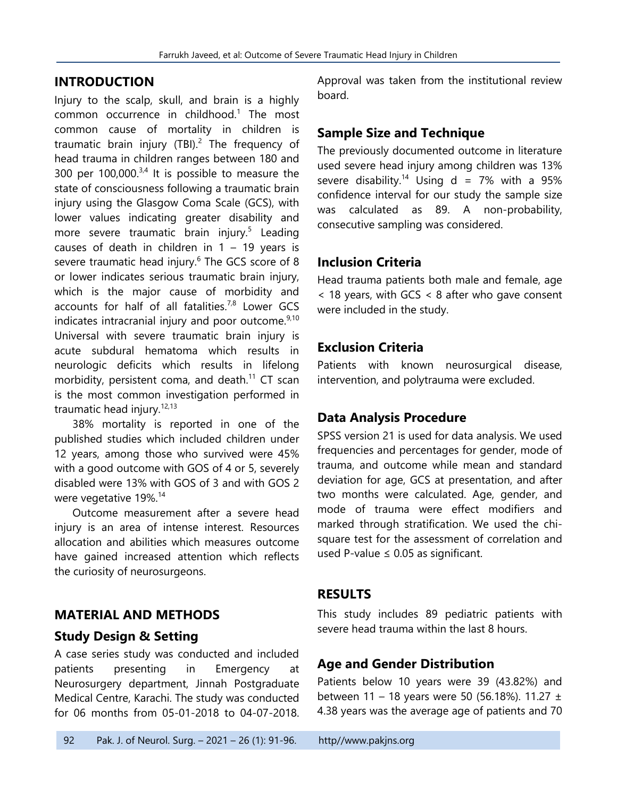# **INTRODUCTION**

Injury to the scalp, skull, and brain is a highly common occurrence in childhood.<sup>1</sup> The most common cause of mortality in children is traumatic brain injury (TBI).<sup>2</sup> The frequency of head trauma in children ranges between 180 and 300 per 100,000. $3,4$  It is possible to measure the state of consciousness following a traumatic brain injury using the Glasgow Coma Scale (GCS), with lower values indicating greater disability and more severe traumatic brain injury.<sup>5</sup> Leading causes of death in children in  $1 - 19$  years is severe traumatic head injury.<sup>6</sup> The GCS score of 8 or lower indicates serious traumatic brain injury, which is the major cause of morbidity and accounts for half of all fatalities.<sup>7,8</sup> Lower GCS indicates intracranial injury and poor outcome. $9,10$ Universal with severe traumatic brain injury is acute subdural hematoma which results in neurologic deficits which results in lifelong morbidity, persistent coma, and death.<sup>11</sup> CT scan is the most common investigation performed in traumatic head injury. $12,13$ 

38% mortality is reported in one of the published studies which included children under 12 years, among those who survived were 45% with a good outcome with GOS of 4 or 5, severely disabled were 13% with GOS of 3 and with GOS 2 were vegetative 19%.<sup>14</sup>

Outcome measurement after a severe head injury is an area of intense interest. Resources allocation and abilities which measures outcome have gained increased attention which reflects the curiosity of neurosurgeons.

# **MATERIAL AND METHODS**

# **Study Design & Setting**

A case series study was conducted and included patients presenting in Emergency at Neurosurgery department, Jinnah Postgraduate Medical Centre, Karachi. The study was conducted for 06 months from 05-01-2018 to 04-07-2018.

Approval was taken from the institutional review board.

# **Sample Size and Technique**

The previously documented outcome in literature used severe head injury among children was 13% severe disability.<sup>14</sup> Using  $d = 7\%$  with a 95% confidence interval for our study the sample size was calculated as 89. A non-probability, consecutive sampling was considered.

#### **Inclusion Criteria**

Head trauma patients both male and female, age < 18 years, with GCS < 8 after who gave consent were included in the study.

# **Exclusion Criteria**

Patients with known neurosurgical disease, intervention, and polytrauma were excluded.

# **Data Analysis Procedure**

SPSS version 21 is used for data analysis. We used frequencies and percentages for gender, mode of trauma, and outcome while mean and standard deviation for age, GCS at presentation, and after two months were calculated. Age, gender, and mode of trauma were effect modifiers and marked through stratification. We used the chisquare test for the assessment of correlation and used P-value ≤ 0.05 as significant.

# **RESULTS**

This study includes 89 pediatric patients with severe head trauma within the last 8 hours.

# **Age and Gender Distribution**

Patients below 10 years were 39 (43.82%) and between 11 – 18 years were 50 (56.18%). 11.27 ± 4.38 years was the average age of patients and 70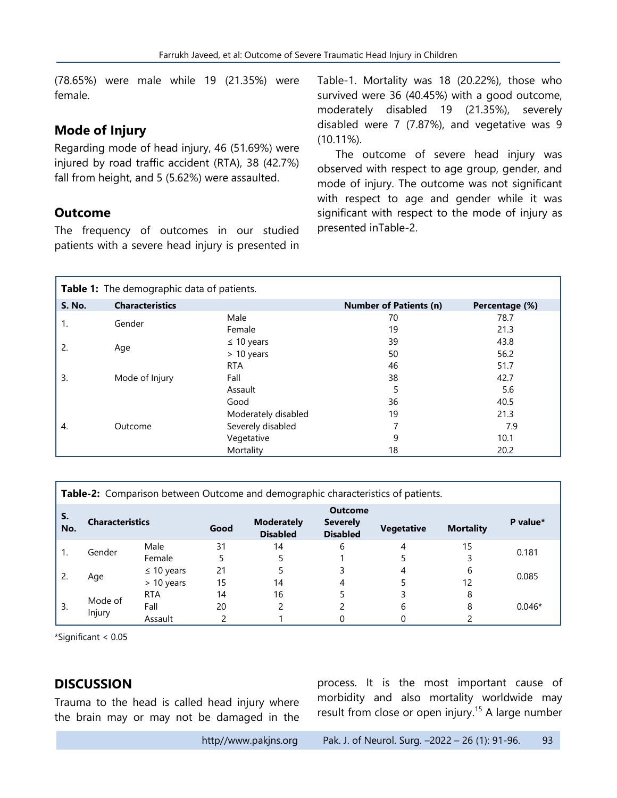(78.65%) were male while 19 (21.35%) were female.

# **Mode of Injury**

Regarding mode of head injury, 46 (51.69%) were injured by road traffic accident (RTA), 38 (42.7%) fall from height, and 5 (5.62%) were assaulted.

#### **Outcome**

The frequency of outcomes in our studied patients with a severe head injury is presented in Table-1. Mortality was 18 (20.22%), those who survived were 36 (40.45%) with a good outcome, moderately disabled 19 (21.35%), severely disabled were 7 (7.87%), and vegetative was 9 (10.11%).

The outcome of severe head injury was observed with respect to age group, gender, and mode of injury. The outcome was not significant with respect to age and gender while it was significant with respect to the mode of injury as presented inTable-2.

| Table 1: The demographic data of patients. |                        |                     |                               |                |  |  |
|--------------------------------------------|------------------------|---------------------|-------------------------------|----------------|--|--|
| <b>S. No.</b>                              | <b>Characteristics</b> |                     | <b>Number of Patients (n)</b> | Percentage (%) |  |  |
| 1.                                         | Gender                 | Male                | 70                            | 78.7           |  |  |
|                                            |                        | Female              | 19                            | 21.3           |  |  |
| 2.                                         | Age                    | $\leq 10$ years     | 39                            | 43.8           |  |  |
|                                            |                        | $> 10$ years        | 50                            | 56.2           |  |  |
| 3.<br>-4.                                  | Mode of Injury         | <b>RTA</b>          | 46                            | 51.7           |  |  |
|                                            |                        | Fall                | 38                            | 42.7           |  |  |
|                                            |                        | Assault             | 5                             | 5.6            |  |  |
|                                            |                        | Good                | 36                            | 40.5           |  |  |
|                                            | Outcome                | Moderately disabled | 19                            | 21.3           |  |  |
|                                            |                        | Severely disabled   |                               | 7.9            |  |  |
|                                            |                        | Vegetative          | 9                             | 10.1           |  |  |
|                                            |                        | Mortality           | 18                            | 20.2           |  |  |

| Table-2: Comparison between Outcome and demographic characteristics of patients. |                        |                                 |          |                                      |                                                      |                   |                  |          |
|----------------------------------------------------------------------------------|------------------------|---------------------------------|----------|--------------------------------------|------------------------------------------------------|-------------------|------------------|----------|
| S.<br>No.                                                                        | <b>Characteristics</b> |                                 | Good     | <b>Moderately</b><br><b>Disabled</b> | <b>Outcome</b><br><b>Severely</b><br><b>Disabled</b> | <b>Vegetative</b> | <b>Mortality</b> | P value* |
|                                                                                  | Gender                 | Male<br>Female                  | 31       | 14                                   | 6                                                    | 4                 | 15               | 0.181    |
|                                                                                  | Age                    | $\leq 10$ years<br>$> 10$ years | 21<br>15 | 14                                   |                                                      | 4                 | 6<br>12          | 0.085    |
| 3.                                                                               | Mode of<br>Injury      | <b>RTA</b><br>Fall<br>Assault   | 14<br>20 | 16                                   |                                                      | 6                 | 8<br>8           | $0.046*$ |

\*Significant < 0.05

# **DISCUSSION**

Trauma to the head is called head injury where the brain may or may not be damaged in the process. It is the most important cause of morbidity and also mortality worldwide may result from close or open injury.<sup>15</sup> A large number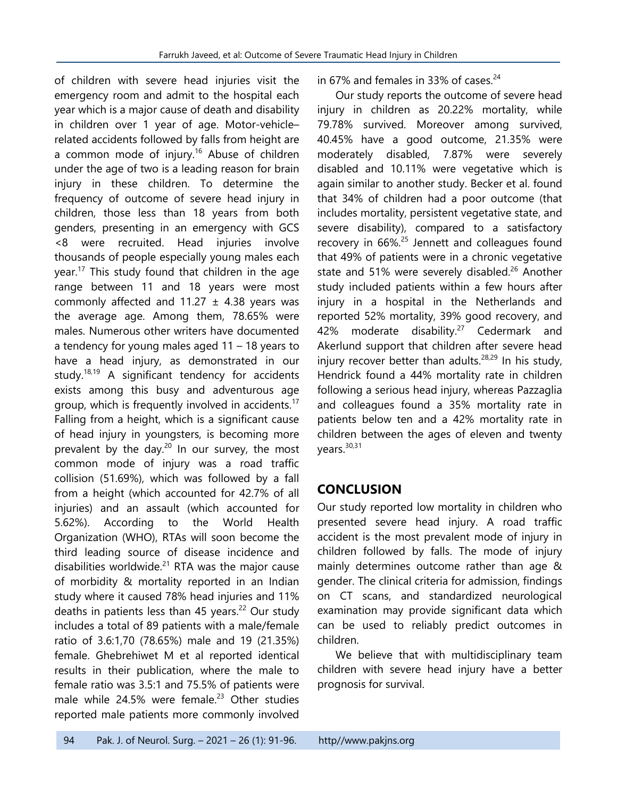of children with severe head injuries visit the emergency room and admit to the hospital each year which is a major cause of death and disability in children over 1 year of age. Motor-vehicle– related accidents followed by falls from height are a common mode of injury.<sup>16</sup> Abuse of children under the age of two is a leading reason for brain injury in these children. To determine the frequency of outcome of severe head injury in children, those less than 18 years from both genders, presenting in an emergency with GCS <8 were recruited. Head injuries involve thousands of people especially young males each year. <sup>17</sup> This study found that children in the age range between 11 and 18 years were most commonly affected and  $11.27 \pm 4.38$  years was the average age. Among them, 78.65% were males. Numerous other writers have documented a tendency for young males aged 11 – 18 years to have a head injury, as demonstrated in our study.<sup>18,19</sup> A significant tendency for accidents exists among this busy and adventurous age group, which is frequently involved in accidents.<sup>17</sup> Falling from a height, which is a significant cause of head injury in youngsters, is becoming more prevalent by the day.<sup>20</sup> In our survey, the most common mode of injury was a road traffic collision (51.69%), which was followed by a fall from a height (which accounted for 42.7% of all injuries) and an assault (which accounted for 5.62%). According to the World Health Organization (WHO), RTAs will soon become the third leading source of disease incidence and disabilities worldwide.<sup>21</sup> RTA was the major cause of morbidity & mortality reported in an Indian study where it caused 78% head injuries and 11% deaths in patients less than 45 years.<sup>22</sup> Our study includes a total of 89 patients with a male/female ratio of 3.6:1,70 (78.65%) male and 19 (21.35%) female. Ghebrehiwet M et al reported identical results in their publication, where the male to female ratio was 3.5:1 and 75.5% of patients were male while 24.5% were female.<sup>23</sup> Other studies reported male patients more commonly involved

in 67% and females in 33% of cases.<sup>24</sup>

Our study reports the outcome of severe head injury in children as 20.22% mortality, while 79.78% survived. Moreover among survived, 40.45% have a good outcome, 21.35% were moderately disabled, 7.87% were severely disabled and 10.11% were vegetative which is again similar to another study. Becker et al. found that 34% of children had a poor outcome (that includes mortality, persistent vegetative state, and severe disability), compared to a satisfactory recovery in 66%.<sup>25</sup> Jennett and colleagues found that 49% of patients were in a chronic vegetative state and 51% were severely disabled.<sup>26</sup> Another study included patients within a few hours after injury in a hospital in the Netherlands and reported 52% mortality, 39% good recovery, and 42% moderate disability.<sup>27</sup> Cedermark and Akerlund support that children after severe head injury recover better than adults. 28,29 In his study, Hendrick found a 44% mortality rate in children following a serious head injury, whereas Pazzaglia and colleagues found a 35% mortality rate in patients below ten and a 42% mortality rate in children between the ages of eleven and twenty vears. $30,31$ 

# **CONCLUSION**

Our study reported low mortality in children who presented severe head injury. A road traffic accident is the most prevalent mode of injury in children followed by falls. The mode of injury mainly determines outcome rather than age & gender. The clinical criteria for admission, findings on CT scans, and standardized neurological examination may provide significant data which can be used to reliably predict outcomes in children.

We believe that with multidisciplinary team children with severe head injury have a better prognosis for survival.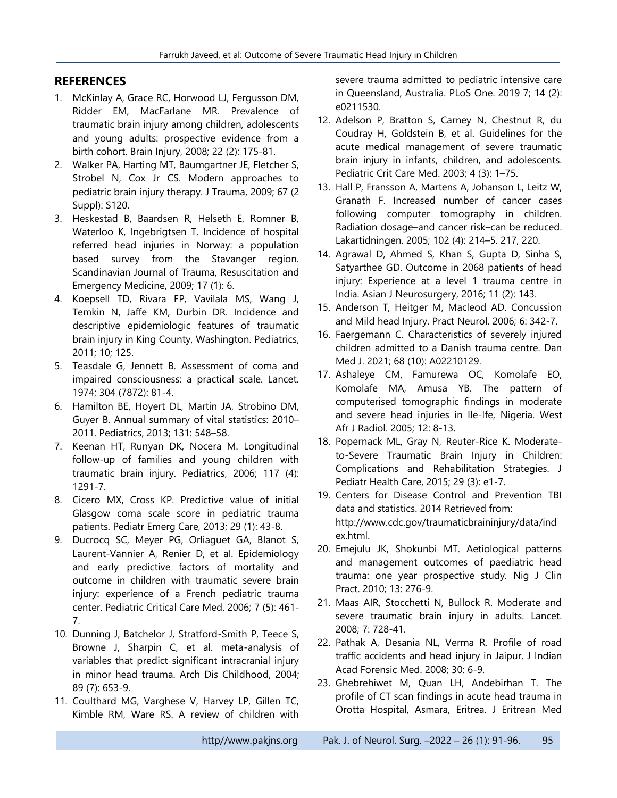#### **REFERENCES**

- 1. McKinlay A, Grace RC, Horwood LJ, Fergusson DM, Ridder EM, MacFarlane MR. Prevalence of traumatic brain injury among children, adolescents and young adults: prospective evidence from a birth cohort. Brain Injury, 2008; 22 (2): 175-81.
- 2. Walker PA, Harting MT, Baumgartner JE, Fletcher S, Strobel N, Cox Jr CS. Modern approaches to pediatric brain injury therapy. J Trauma, 2009; 67 (2 Suppl): S120.
- 3. Heskestad B, Baardsen R, Helseth E, Romner B, Waterloo K, Ingebrigtsen T. Incidence of hospital referred head injuries in Norway: a population based survey from the Stavanger region. Scandinavian Journal of Trauma, Resuscitation and Emergency Medicine, 2009; 17 (1): 6.
- 4. Koepsell TD, Rivara FP, Vavilala MS, Wang J, Temkin N, Jaffe KM, Durbin DR. Incidence and descriptive epidemiologic features of traumatic brain injury in King County, Washington. Pediatrics, 2011; 10; 125.
- 5. Teasdale G, Jennett B. Assessment of coma and impaired consciousness: a practical scale. Lancet. 1974; 304 (7872): 81-4.
- 6. Hamilton BE, Hoyert DL, Martin JA, Strobino DM, Guyer B. Annual summary of vital statistics: 2010– 2011. Pediatrics, 2013; 131: 548–58.
- 7. Keenan HT, Runyan DK, Nocera M. Longitudinal follow-up of families and young children with traumatic brain injury. Pediatrics, 2006; 117 (4): 1291-7.
- 8. Cicero MX, Cross KP. Predictive value of initial Glasgow coma scale score in pediatric trauma patients. Pediatr Emerg Care, 2013; 29 (1): 43-8.
- 9. Ducrocq SC, Meyer PG, Orliaguet GA, Blanot S, Laurent-Vannier A, Renier D, et al. Epidemiology and early predictive factors of mortality and outcome in children with traumatic severe brain injury: experience of a French pediatric trauma center. Pediatric Critical Care Med. 2006; 7 (5): 461- 7.
- 10. Dunning J, Batchelor J, Stratford-Smith P, Teece S, Browne J, Sharpin C, et al. meta-analysis of variables that predict significant intracranial injury in minor head trauma. Arch Dis Childhood, 2004; 89 (7): 653-9.
- 11. Coulthard MG, Varghese V, Harvey LP, Gillen TC, Kimble RM, Ware RS. A review of children with

severe trauma admitted to pediatric intensive care in Queensland, Australia. PLoS One. 2019 7; 14 (2): e0211530.

- 12. Adelson P, Bratton S, Carney N, Chestnut R, du Coudray H, Goldstein B, et al. Guidelines for the acute medical management of severe traumatic brain injury in infants, children, and adolescents. Pediatric Crit Care Med. 2003; 4 (3): 1–75.
- 13. Hall P, Fransson A, Martens A, Johanson L, Leitz W, Granath F. Increased number of cancer cases following computer tomography in children. Radiation dosage–and cancer risk–can be reduced. Lakartidningen. 2005; 102 (4): 214–5. 217, 220.
- 14. Agrawal D, Ahmed S, Khan S, Gupta D, Sinha S, Satyarthee GD. Outcome in 2068 patients of head injury: Experience at a level 1 trauma centre in India. Asian J Neurosurgery, 2016; 11 (2): 143.
- 15. Anderson T, Heitger M, Macleod AD. Concussion and Mild head Injury. Pract Neurol. 2006; 6: 342-7.
- 16. Faergemann C. Characteristics of severely injured children admitted to a Danish trauma centre. Dan Med J. 2021; 68 (10): A02210129.
- 17. Ashaleye CM, Famurewa OC, Komolafe EO, Komolafe MA, Amusa YB. The pattern of computerised tomographic findings in moderate and severe head injuries in Ile-Ife, Nigeria. West Afr J Radiol. 2005; 12: 8-13.
- 18. Popernack ML, Gray N, Reuter-Rice K. Moderateto-Severe Traumatic Brain Injury in Children: Complications and Rehabilitation Strategies. J Pediatr Health Care, 2015; 29 (3): e1-7.
- 19. Centers for Disease Control and Prevention TBI data and statistics. 2014 Retrieved from: http://www.cdc.gov/traumaticbraininjury/data/ind ex.html.
- 20. Emejulu JK, Shokunbi MT. Aetiological patterns and management outcomes of paediatric head trauma: one year prospective study. Nig J Clin Pract. 2010; 13: 276-9.
- 21. Maas AIR, Stocchetti N, Bullock R. Moderate and severe traumatic brain injury in adults. Lancet. 2008; 7: 728-41.
- 22. Pathak A, Desania NL, Verma R. Profile of road traffic accidents and head injury in Jaipur. J Indian Acad Forensic Med. 2008; 30: 6-9.
- 23. Ghebrehiwet M, Quan LH, Andebirhan T. The profile of CT scan findings in acute head trauma in Orotta Hospital, Asmara, Eritrea. J Eritrean Med